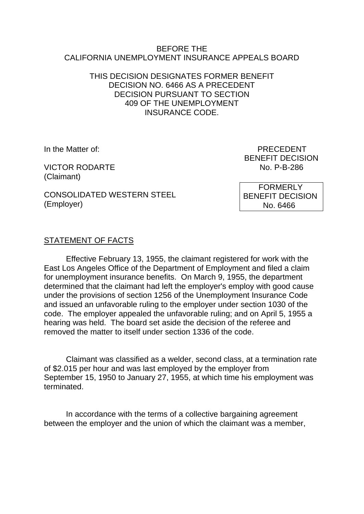#### BEFORE THE CALIFORNIA UNEMPLOYMENT INSURANCE APPEALS BOARD

#### THIS DECISION DESIGNATES FORMER BENEFIT DECISION NO. 6466 AS A PRECEDENT DECISION PURSUANT TO SECTION 409 OF THE UNEMPLOYMENT INSURANCE CODE.

VICTOR RODARTE NO. P-B-286 (Claimant)

In the Matter of: PRECEDENT BENEFIT DECISION

CONSOLIDATED WESTERN STEEL (Employer)

 FORMERLY BENEFIT DECISION No. 6466

# STATEMENT OF FACTS

Effective February 13, 1955, the claimant registered for work with the East Los Angeles Office of the Department of Employment and filed a claim for unemployment insurance benefits. On March 9, 1955, the department determined that the claimant had left the employer's employ with good cause under the provisions of section 1256 of the Unemployment Insurance Code and issued an unfavorable ruling to the employer under section 1030 of the code. The employer appealed the unfavorable ruling; and on April 5, 1955 a hearing was held. The board set aside the decision of the referee and removed the matter to itself under section 1336 of the code.

Claimant was classified as a welder, second class, at a termination rate of \$2.015 per hour and was last employed by the employer from September 15, 1950 to January 27, 1955, at which time his employment was terminated.

In accordance with the terms of a collective bargaining agreement between the employer and the union of which the claimant was a member,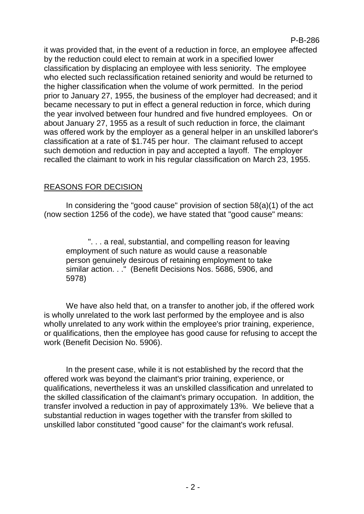#### P-B-286

it was provided that, in the event of a reduction in force, an employee affected by the reduction could elect to remain at work in a specified lower classification by displacing an employee with less seniority. The employee who elected such reclassification retained seniority and would be returned to the higher classification when the volume of work permitted. In the period prior to January 27, 1955, the business of the employer had decreased; and it became necessary to put in effect a general reduction in force, which during the year involved between four hundred and five hundred employees. On or about January 27, 1955 as a result of such reduction in force, the claimant was offered work by the employer as a general helper in an unskilled laborer's classification at a rate of \$1.745 per hour. The claimant refused to accept such demotion and reduction in pay and accepted a layoff. The employer recalled the claimant to work in his regular classification on March 23, 1955.

# REASONS FOR DECISION

In considering the "good cause" provision of section 58(a)(1) of the act (now section 1256 of the code), we have stated that "good cause" means:

". . . a real, substantial, and compelling reason for leaving employment of such nature as would cause a reasonable person genuinely desirous of retaining employment to take similar action. . ." (Benefit Decisions Nos. 5686, 5906, and 5978)

We have also held that, on a transfer to another job, if the offered work is wholly unrelated to the work last performed by the employee and is also wholly unrelated to any work within the employee's prior training, experience, or qualifications, then the employee has good cause for refusing to accept the work (Benefit Decision No. 5906).

In the present case, while it is not established by the record that the offered work was beyond the claimant's prior training, experience, or qualifications, nevertheless it was an unskilled classification and unrelated to the skilled classification of the claimant's primary occupation. In addition, the transfer involved a reduction in pay of approximately 13%. We believe that a substantial reduction in wages together with the transfer from skilled to unskilled labor constituted "good cause" for the claimant's work refusal.